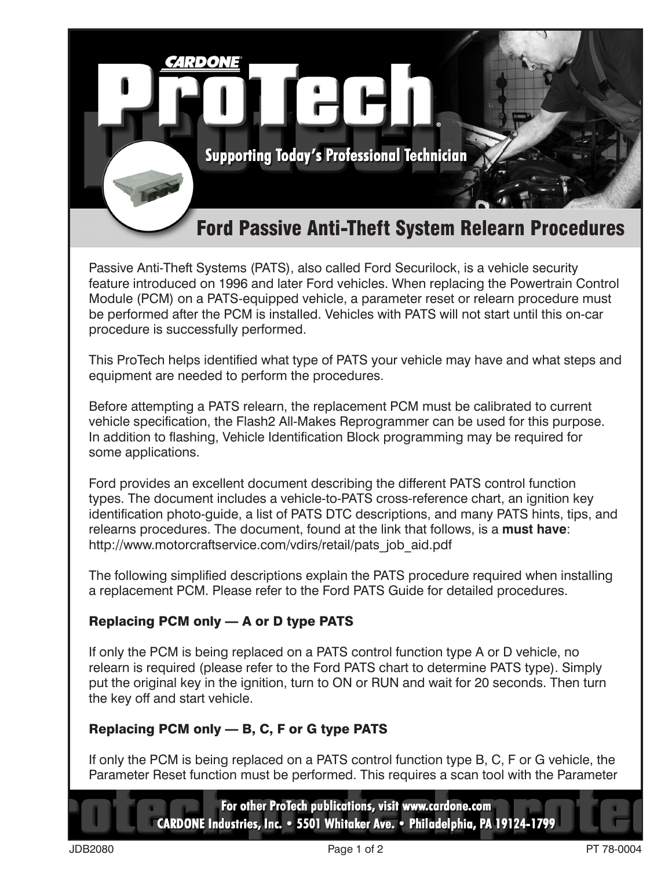

Passive Anti-Theft Systems (PATS), also called Ford Securilock, is a vehicle security feature introduced on 1996 and later Ford vehicles. When replacing the Powertrain Control Module (PCM) on a PATS-equipped vehicle, a parameter reset or relearn procedure must be performed after the PCM is installed. Vehicles with PATS will not start until this on-car procedure is successfully performed.

This ProTech helps identified what type of PATS your vehicle may have and what steps and equipment are needed to perform the procedures.

Before attempting a PATS relearn, the replacement PCM must be calibrated to current vehicle specification, the Flash2 All-Makes Reprogrammer can be used for this purpose. In addition to flashing, Vehicle Identification Block programming may be required for some applications.

Ford provides an excellent document describing the different PATS control function types. The document includes a vehicle-to-PATS cross-reference chart, an ignition key identification photo-guide, a list of PATS DTC descriptions, and many PATS hints, tips, and relearns procedures. The document, found at the link that follows, is a **must have**: http://www.motorcraftservice.com/vdirs/retail/pats\_job\_aid.pdf

The following simplified descriptions explain the PATS procedure required when installing a replacement PCM. Please refer to the Ford PATS Guide for detailed procedures.

## Replacing PCM only — A or D type PATS

If only the PCM is being replaced on a PATS control function type A or D vehicle, no relearn is required (please refer to the Ford PATS chart to determine PATS type). Simply put the original key in the ignition, turn to ON or RUN and wait for 20 seconds. Then turn the key off and start vehicle.

## Replacing PCM only — B, C, F or G type PATS

If only the PCM is being replaced on a PATS control function type B, C, F or G vehicle, the Parameter Reset function must be performed. This requires a scan tool with the Parameter

> For other ProTech publications, visit www.cardone.com CARDONE Industries, Inc. • 5501 Whitaker Ave. • Philadelphia, PA 19124-1799